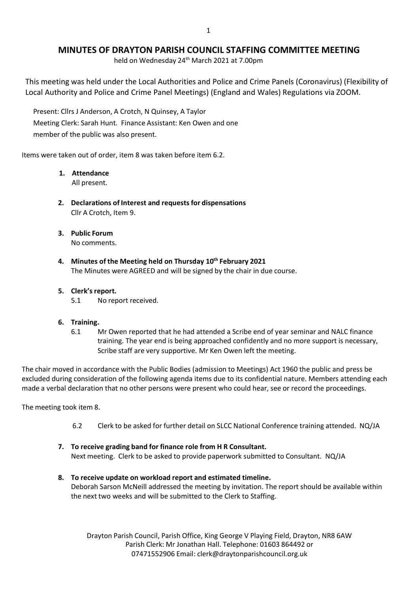# **MINUTES OF DRAYTON PARISH COUNCIL STAFFING COMMITTEE MEETING**

held on Wednesday 24<sup>th</sup> March 2021 at 7.00pm

This meeting was held under the Local Authorities and Police and Crime Panels (Coronavirus) (Flexibility of Local Authority and Police and Crime Panel Meetings) (England and Wales) Regulations via ZOOM.

Present: Cllrs J Anderson, A Crotch, N Quinsey, A Taylor Meeting Clerk: Sarah Hunt. Finance Assistant: Ken Owen and one member of the public was also present.

Items were taken out of order, item 8 was taken before item 6.2.

## **1. Attendance**

All present.

- **2. Declarations of Interest and requests for dispensations** Cllr A Crotch, Item 9.
- **3. Public Forum** No comments.
- **4. Minutes of the Meeting held on Thursday 10th February 2021** The Minutes were AGREED and will be signed by the chair in due course.

## **5. Clerk's report.**

5.1 No report received.

### **6. Training.**

6.1 Mr Owen reported that he had attended a Scribe end of year seminar and NALC finance training. The year end is being approached confidently and no more support is necessary, Scribe staff are very supportive. Mr Ken Owen left the meeting.

The chair moved in accordance with the Public Bodies (admission to Meetings) Act 1960 the public and press be excluded during consideration of the following agenda items due to its confidential nature. Members attending each made a verbal declaration that no other persons were present who could hear, see or record the proceedings.

The meeting took item 8.

- 6.2 Clerk to be asked for further detail on SLCC National Conference training attended. NQ/JA
- **7. To receive grading band for finance role from H R Consultant.** Next meeting. Clerk to be asked to provide paperwork submitted to Consultant. NQ/JA
- **8. To receive update on workload report and estimated timeline.** Deborah Sarson McNeill addressed the meeting by invitation. The report should be available within the next two weeks and will be submitted to the Clerk to Staffing.

Drayton Parish Council, Parish Office, King George V Playing Field, Drayton, NR8 6AW Parish Clerk: Mr Jonathan Hall. Telephone: 01603 864492 or 07471552906 Email: [clerk@draytonparishcouncil.org.uk](mailto:clerk@draytonparishcouncil.org.uk)